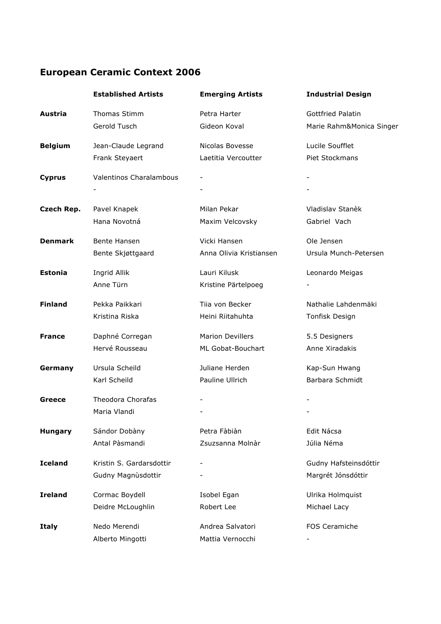## **European Ceramic Context 2006**

|                | <b>Established Artists</b>     | <b>Emerging Artists</b> | <b>Industrial Design</b> |
|----------------|--------------------------------|-------------------------|--------------------------|
| Austria        | <b>Thomas Stimm</b>            | Petra Harter            | <b>Gottfried Palatin</b> |
|                | Gerold Tusch                   | Gideon Koval            | Marie Rahm&Monica Singer |
| <b>Belgium</b> | Jean-Claude Legrand            | Nicolas Bovesse         | Lucile Soufflet          |
|                | Frank Steyaert                 | Laetitia Vercoutter     | Piet Stockmans           |
| <b>Cyprus</b>  | <b>Valentinos Charalambous</b> |                         |                          |
|                |                                |                         |                          |
| Czech Rep.     | Pavel Knapek                   | Milan Pekar             | Vladislav Stanèk         |
|                | Hana Novotná                   | Maxim Velcovsky         | Gabriel Vach             |
| <b>Denmark</b> | Bente Hansen                   | Vicki Hansen            | Ole Jensen               |
|                | Bente Skjøttgaard              | Anna Olivia Kristiansen | Ursula Munch-Petersen    |
| <b>Estonia</b> | Ingrid Allik                   | Lauri Kilusk            | Leonardo Meigas          |
|                | Anne Türn                      | Kristine Pärtelpoeg     |                          |
| <b>Finland</b> | Pekka Paikkari                 | Tiia von Becker         | Nathalie Lahdenmäki      |
|                | Kristina Riska                 | Heini Riitahuhta        | Tonfisk Design           |
| <b>France</b>  | Daphné Corregan                | <b>Marion Devillers</b> | 5.5 Designers            |
|                | Hervé Rousseau                 | ML Gobat-Bouchart       | Anne Xiradakis           |
| Germany        | Ursula Scheild                 | Juliane Herden          | Kap-Sun Hwang            |
|                | Karl Scheild                   | Pauline Ullrich         | Barbara Schmidt          |
| Greece         | <b>Theodora Chorafas</b>       |                         |                          |
|                | Maria Vlandi                   |                         |                          |
| <b>Hungary</b> | Sándor Dobàny                  | Petra Fàbiàn            | Edit Nácsa               |
|                | Antal Pàsmandi                 | Zsuzsanna Molnàr        | Júlia Néma               |
| <b>Iceland</b> | Kristin S. Gardarsdottir       |                         | Gudny Hafsteinsdóttir    |
|                | Gudny Magnùsdottir             |                         | Margrét Jónsdóttir       |
| <b>Ireland</b> | Cormac Boydell                 | Isobel Egan             | Ulrika Holmquist         |
|                | Deidre McLoughlin              | Robert Lee              | Michael Lacy             |
| <b>Italy</b>   | Nedo Merendi                   | Andrea Salvatori        | FOS Ceramiche            |
|                | Alberto Mingotti               | Mattia Vernocchi        |                          |